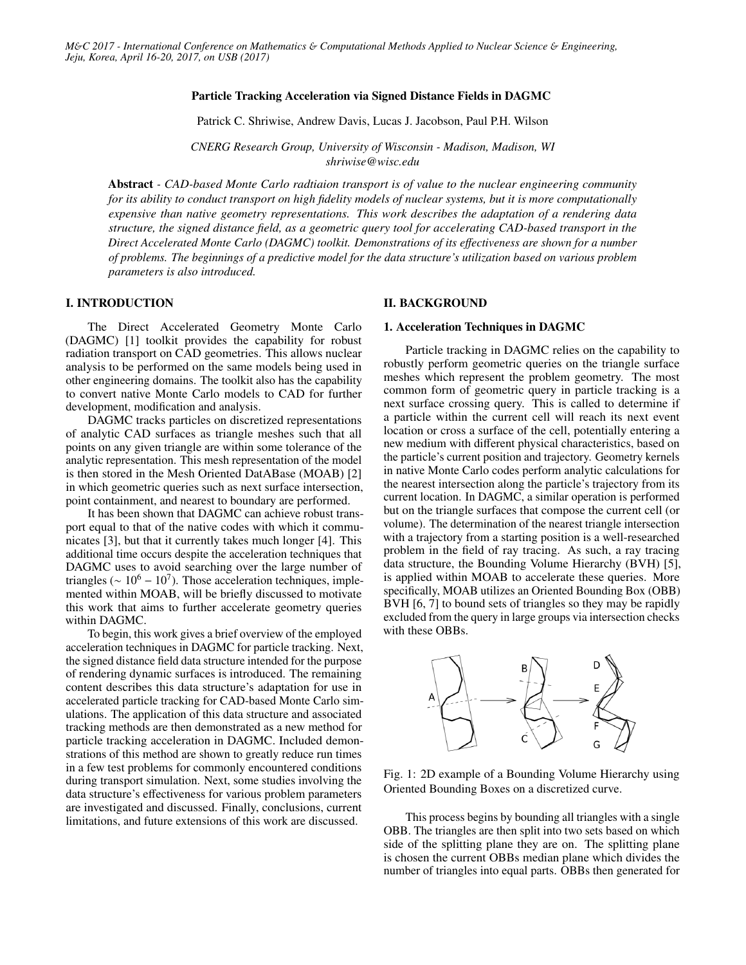#### Particle Tracking Acceleration via Signed Distance Fields in DAGMC

Patrick C. Shriwise, Andrew Davis, Lucas J. Jacobson, Paul P.H. Wilson

*CNERG Research Group, University of Wisconsin - Madison, Madison, WI shriwise@wisc.edu*

Abstract *- CAD-based Monte Carlo radtiaion transport is of value to the nuclear engineering community for its ability to conduct transport on high fidelity models of nuclear systems, but it is more computationally expensive than native geometry representations. This work describes the adaptation of a rendering data structure, the signed distance field, as a geometric query tool for accelerating CAD-based transport in the Direct Accelerated Monte Carlo (DAGMC) toolkit. Demonstrations of its e*ff*ectiveness are shown for a number of problems. The beginnings of a predictive model for the data structure's utilization based on various problem parameters is also introduced.*

# I. INTRODUCTION

The Direct Accelerated Geometry Monte Carlo (DAGMC) [1] toolkit provides the capability for robust radiation transport on CAD geometries. This allows nuclear analysis to be performed on the same models being used in other engineering domains. The toolkit also has the capability to convert native Monte Carlo models to CAD for further development, modification and analysis.

DAGMC tracks particles on discretized representations of analytic CAD surfaces as triangle meshes such that all points on any given triangle are within some tolerance of the analytic representation. This mesh representation of the model is then stored in the Mesh Oriented DatABase (MOAB) [2] in which geometric queries such as next surface intersection, point containment, and nearest to boundary are performed.

It has been shown that DAGMC can achieve robust transport equal to that of the native codes with which it communicates [3], but that it currently takes much longer [4]. This additional time occurs despite the acceleration techniques that DAGMC uses to avoid searching over the large number of triangles ( $\sim 10^6 - 10^7$ ). Those acceleration techniques, implemented within MOAB, will be briefly discussed to motivate this work that aims to further accelerate geometry queries within DAGMC.

To begin, this work gives a brief overview of the employed acceleration techniques in DAGMC for particle tracking. Next, the signed distance field data structure intended for the purpose of rendering dynamic surfaces is introduced. The remaining content describes this data structure's adaptation for use in accelerated particle tracking for CAD-based Monte Carlo simulations. The application of this data structure and associated tracking methods are then demonstrated as a new method for particle tracking acceleration in DAGMC. Included demonstrations of this method are shown to greatly reduce run times in a few test problems for commonly encountered conditions during transport simulation. Next, some studies involving the data structure's effectiveness for various problem parameters are investigated and discussed. Finally, conclusions, current limitations, and future extensions of this work are discussed.

#### II. BACKGROUND

#### 1. Acceleration Techniques in DAGMC

Particle tracking in DAGMC relies on the capability to robustly perform geometric queries on the triangle surface meshes which represent the problem geometry. The most common form of geometric query in particle tracking is a next surface crossing query. This is called to determine if a particle within the current cell will reach its next event location or cross a surface of the cell, potentially entering a new medium with different physical characteristics, based on the particle's current position and trajectory. Geometry kernels in native Monte Carlo codes perform analytic calculations for the nearest intersection along the particle's trajectory from its current location. In DAGMC, a similar operation is performed but on the triangle surfaces that compose the current cell (or volume). The determination of the nearest triangle intersection with a trajectory from a starting position is a well-researched problem in the field of ray tracing. As such, a ray tracing data structure, the Bounding Volume Hierarchy (BVH) [5], is applied within MOAB to accelerate these queries. More specifically, MOAB utilizes an Oriented Bounding Box (OBB) BVH [6, 7] to bound sets of triangles so they may be rapidly excluded from the query in large groups via intersection checks with these OBBs.



Fig. 1: 2D example of a Bounding Volume Hierarchy using Oriented Bounding Boxes on a discretized curve.

This process begins by bounding all triangles with a single OBB. The triangles are then split into two sets based on which side of the splitting plane they are on. The splitting plane is chosen the current OBBs median plane which divides the number of triangles into equal parts. OBBs then generated for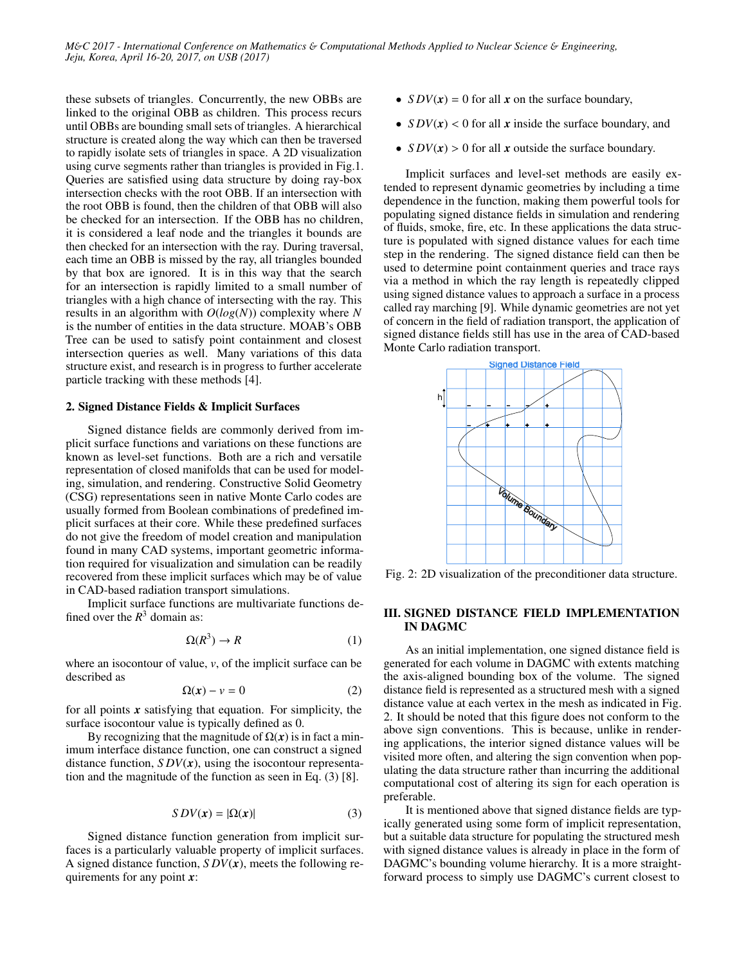these subsets of triangles. Concurrently, the new OBBs are linked to the original OBB as children. This process recurs until OBBs are bounding small sets of triangles. A hierarchical structure is created along the way which can then be traversed to rapidly isolate sets of triangles in space. A 2D visualization using curve segments rather than triangles is provided in Fig.1. Queries are satisfied using data structure by doing ray-box intersection checks with the root OBB. If an intersection with the root OBB is found, then the children of that OBB will also be checked for an intersection. If the OBB has no children, it is considered a leaf node and the triangles it bounds are then checked for an intersection with the ray. During traversal, each time an OBB is missed by the ray, all triangles bounded by that box are ignored. It is in this way that the search for an intersection is rapidly limited to a small number of triangles with a high chance of intersecting with the ray. This results in an algorithm with *O*(*log*(*N*)) complexity where *N* is the number of entities in the data structure. MOAB's OBB Tree can be used to satisfy point containment and closest intersection queries as well. Many variations of this data structure exist, and research is in progress to further accelerate particle tracking with these methods [4].

#### 2. Signed Distance Fields & Implicit Surfaces

Signed distance fields are commonly derived from implicit surface functions and variations on these functions are known as level-set functions. Both are a rich and versatile representation of closed manifolds that can be used for modeling, simulation, and rendering. Constructive Solid Geometry (CSG) representations seen in native Monte Carlo codes are usually formed from Boolean combinations of predefined implicit surfaces at their core. While these predefined surfaces do not give the freedom of model creation and manipulation found in many CAD systems, important geometric information required for visualization and simulation can be readily recovered from these implicit surfaces which may be of value in CAD-based radiation transport simulations.

Implicit surface functions are multivariate functions defined over the  $R^3$  domain as:

$$
\Omega(R^3) \to R \tag{1}
$$

where an isocontour of value, *v*, of the implicit surface can be described as

$$
\Omega(x) - v = 0 \tag{2}
$$

for all points *x* satisfying that equation. For simplicity, the surface isocontour value is typically defined as 0.

By recognizing that the magnitude of  $\Omega(x)$  is in fact a minimum interface distance function, one can construct a signed distance function,  $SDV(x)$ , using the isocontour representation and the magnitude of the function as seen in Eq. (3) [8].

$$
SDV(x) = |\Omega(x)| \tag{3}
$$

Signed distance function generation from implicit surfaces is a particularly valuable property of implicit surfaces. A signed distance function, *S DV*(*x*), meets the following requirements for any point *x*:

- $SDV(x) = 0$  for all *x* on the surface boundary,
- $SDV(x)$  < 0 for all *x* inside the surface boundary, and
- $SDV(x) > 0$  for all *x* outside the surface boundary.

Implicit surfaces and level-set methods are easily extended to represent dynamic geometries by including a time dependence in the function, making them powerful tools for populating signed distance fields in simulation and rendering of fluids, smoke, fire, etc. In these applications the data structure is populated with signed distance values for each time step in the rendering. The signed distance field can then be used to determine point containment queries and trace rays via a method in which the ray length is repeatedly clipped using signed distance values to approach a surface in a process called ray marching [9]. While dynamic geometries are not yet of concern in the field of radiation transport, the application of signed distance fields still has use in the area of CAD-based Monte Carlo radiation transport.



Fig. 2: 2D visualization of the preconditioner data structure.

## III. SIGNED DISTANCE FIELD IMPLEMENTATION IN DAGMC

As an initial implementation, one signed distance field is generated for each volume in DAGMC with extents matching the axis-aligned bounding box of the volume. The signed distance field is represented as a structured mesh with a signed distance value at each vertex in the mesh as indicated in Fig. 2. It should be noted that this figure does not conform to the above sign conventions. This is because, unlike in rendering applications, the interior signed distance values will be visited more often, and altering the sign convention when populating the data structure rather than incurring the additional computational cost of altering its sign for each operation is preferable.

It is mentioned above that signed distance fields are typically generated using some form of implicit representation, but a suitable data structure for populating the structured mesh with signed distance values is already in place in the form of DAGMC's bounding volume hierarchy. It is a more straightforward process to simply use DAGMC's current closest to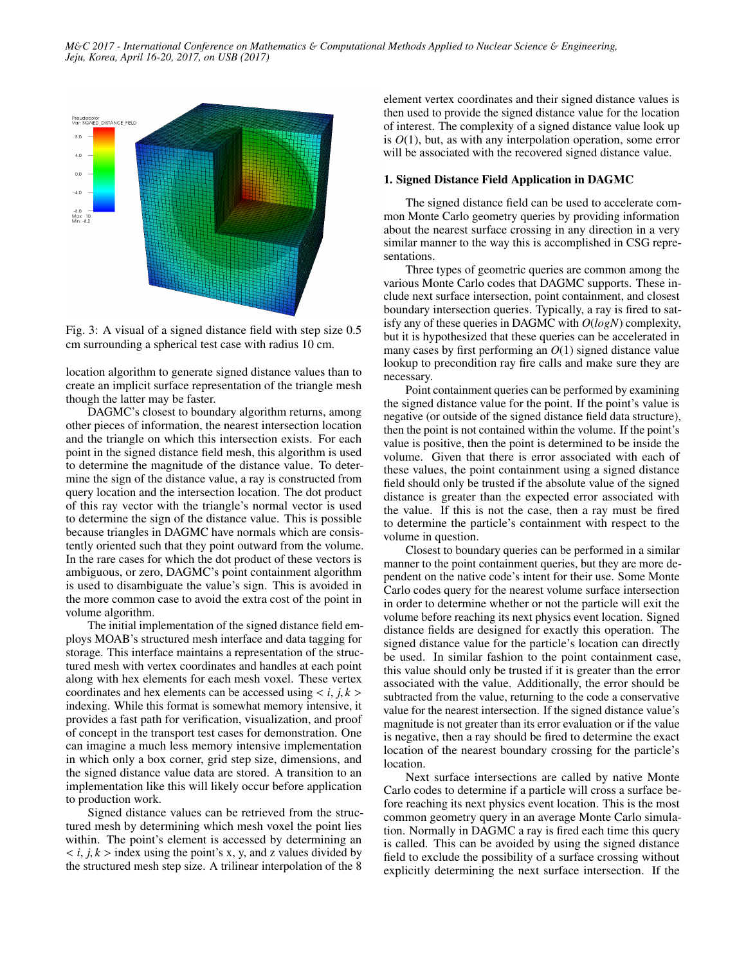

Fig. 3: A visual of a signed distance field with step size 0.5 cm surrounding a spherical test case with radius 10 cm.

location algorithm to generate signed distance values than to create an implicit surface representation of the triangle mesh though the latter may be faster.

DAGMC's closest to boundary algorithm returns, among other pieces of information, the nearest intersection location and the triangle on which this intersection exists. For each point in the signed distance field mesh, this algorithm is used to determine the magnitude of the distance value. To determine the sign of the distance value, a ray is constructed from query location and the intersection location. The dot product of this ray vector with the triangle's normal vector is used to determine the sign of the distance value. This is possible because triangles in DAGMC have normals which are consistently oriented such that they point outward from the volume. In the rare cases for which the dot product of these vectors is ambiguous, or zero, DAGMC's point containment algorithm is used to disambiguate the value's sign. This is avoided in the more common case to avoid the extra cost of the point in volume algorithm.

The initial implementation of the signed distance field employs MOAB's structured mesh interface and data tagging for storage. This interface maintains a representation of the structured mesh with vertex coordinates and handles at each point along with hex elements for each mesh voxel. These vertex coordinates and hex elements can be accessed using  $\langle i, j, k \rangle$ indexing. While this format is somewhat memory intensive, it provides a fast path for verification, visualization, and proof of concept in the transport test cases for demonstration. One can imagine a much less memory intensive implementation in which only a box corner, grid step size, dimensions, and the signed distance value data are stored. A transition to an implementation like this will likely occur before application to production work.

Signed distance values can be retrieved from the structured mesh by determining which mesh voxel the point lies within. The point's element is accessed by determining an  $$ the structured mesh step size. A trilinear interpolation of the 8

element vertex coordinates and their signed distance values is then used to provide the signed distance value for the location of interest. The complexity of a signed distance value look up is *O*(1), but, as with any interpolation operation, some error will be associated with the recovered signed distance value.

#### 1. Signed Distance Field Application in DAGMC

The signed distance field can be used to accelerate common Monte Carlo geometry queries by providing information about the nearest surface crossing in any direction in a very similar manner to the way this is accomplished in CSG representations.

Three types of geometric queries are common among the various Monte Carlo codes that DAGMC supports. These include next surface intersection, point containment, and closest boundary intersection queries. Typically, a ray is fired to satisfy any of these queries in DAGMC with *O*(*logN*) complexity, but it is hypothesized that these queries can be accelerated in many cases by first performing an *O*(1) signed distance value lookup to precondition ray fire calls and make sure they are necessary.

Point containment queries can be performed by examining the signed distance value for the point. If the point's value is negative (or outside of the signed distance field data structure), then the point is not contained within the volume. If the point's value is positive, then the point is determined to be inside the volume. Given that there is error associated with each of these values, the point containment using a signed distance field should only be trusted if the absolute value of the signed distance is greater than the expected error associated with the value. If this is not the case, then a ray must be fired to determine the particle's containment with respect to the volume in question.

Closest to boundary queries can be performed in a similar manner to the point containment queries, but they are more dependent on the native code's intent for their use. Some Monte Carlo codes query for the nearest volume surface intersection in order to determine whether or not the particle will exit the volume before reaching its next physics event location. Signed distance fields are designed for exactly this operation. The signed distance value for the particle's location can directly be used. In similar fashion to the point containment case, this value should only be trusted if it is greater than the error associated with the value. Additionally, the error should be subtracted from the value, returning to the code a conservative value for the nearest intersection. If the signed distance value's magnitude is not greater than its error evaluation or if the value is negative, then a ray should be fired to determine the exact location of the nearest boundary crossing for the particle's location.

Next surface intersections are called by native Monte Carlo codes to determine if a particle will cross a surface before reaching its next physics event location. This is the most common geometry query in an average Monte Carlo simulation. Normally in DAGMC a ray is fired each time this query is called. This can be avoided by using the signed distance field to exclude the possibility of a surface crossing without explicitly determining the next surface intersection. If the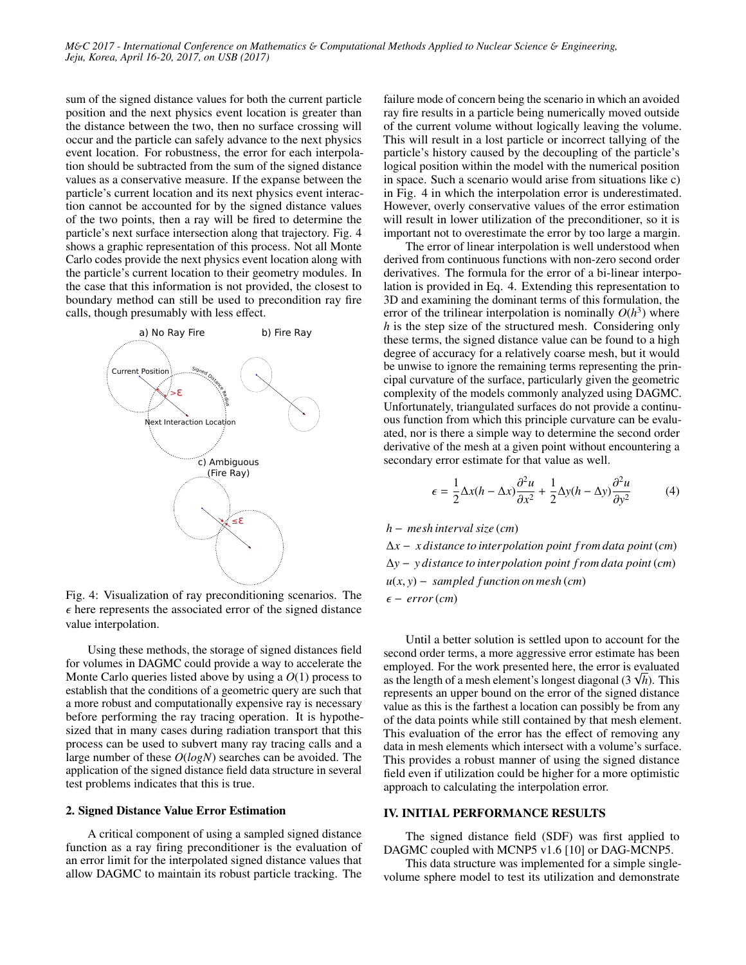sum of the signed distance values for both the current particle position and the next physics event location is greater than the distance between the two, then no surface crossing will occur and the particle can safely advance to the next physics event location. For robustness, the error for each interpolation should be subtracted from the sum of the signed distance values as a conservative measure. If the expanse between the particle's current location and its next physics event interaction cannot be accounted for by the signed distance values of the two points, then a ray will be fired to determine the particle's next surface intersection along that trajectory. Fig. 4 shows a graphic representation of this process. Not all Monte Carlo codes provide the next physics event location along with the particle's current location to their geometry modules. In the case that this information is not provided, the closest to boundary method can still be used to precondition ray fire calls, though presumably with less effect.



Fig. 4: Visualization of ray preconditioning scenarios. The  $\epsilon$  here represents the associated error of the signed distance value interpolation.

Using these methods, the storage of signed distances field for volumes in DAGMC could provide a way to accelerate the Monte Carlo queries listed above by using a *O*(1) process to establish that the conditions of a geometric query are such that a more robust and computationally expensive ray is necessary before performing the ray tracing operation. It is hypothesized that in many cases during radiation transport that this process can be used to subvert many ray tracing calls and a large number of these *O*(*logN*) searches can be avoided. The application of the signed distance field data structure in several test problems indicates that this is true.

#### 2. Signed Distance Value Error Estimation

A critical component of using a sampled signed distance function as a ray firing preconditioner is the evaluation of an error limit for the interpolated signed distance values that allow DAGMC to maintain its robust particle tracking. The

failure mode of concern being the scenario in which an avoided ray fire results in a particle being numerically moved outside of the current volume without logically leaving the volume. This will result in a lost particle or incorrect tallying of the particle's history caused by the decoupling of the particle's logical position within the model with the numerical position in space. Such a scenario would arise from situations like c) in Fig. 4 in which the interpolation error is underestimated. However, overly conservative values of the error estimation will result in lower utilization of the preconditioner, so it is important not to overestimate the error by too large a margin.

The error of linear interpolation is well understood when derived from continuous functions with non-zero second order derivatives. The formula for the error of a bi-linear interpolation is provided in Eq. 4. Extending this representation to 3D and examining the dominant terms of this formulation, the error of the trilinear interpolation is nominally  $O(h^3)$  where *h* is the step size of the structured mesh. Considering only these terms, the signed distance value can be found to a high degree of accuracy for a relatively coarse mesh, but it would be unwise to ignore the remaining terms representing the principal curvature of the surface, particularly given the geometric complexity of the models commonly analyzed using DAGMC. Unfortunately, triangulated surfaces do not provide a continuous function from which this principle curvature can be evaluated, nor is there a simple way to determine the second order derivative of the mesh at a given point without encountering a secondary error estimate for that value as well.

$$
\epsilon = \frac{1}{2}\Delta x(h - \Delta x)\frac{\partial^2 u}{\partial x^2} + \frac{1}{2}\Delta y(h - \Delta y)\frac{\partial^2 u}{\partial y^2}
$$
(4)

### *h* − *mesh interval size* (*cm*)

∆*x* − *x distance to interpolation point f rom data point* (*cm*) ∆*y* − *y distance to interpolation point f rom data point* (*cm*) *<sup>u</sup>*(*x*, *<sup>y</sup>*) <sup>−</sup> *sampled f unction on mesh* (*cm*) <sup>−</sup> *error*(*cm*)

Until a better solution is settled upon to account for the second order terms, a more aggressive error estimate has been employed. For the work presented here, the error is evaluated as the length of a mesh element's longest diagonal  $(3 \sqrt{h})$ . This represents an upper bound on the error of the signed distance value as this is the farthest a location can possibly be from any of the data points while still contained by that mesh element. This evaluation of the error has the effect of removing any data in mesh elements which intersect with a volume's surface. This provides a robust manner of using the signed distance field even if utilization could be higher for a more optimistic approach to calculating the interpolation error.

#### IV. INITIAL PERFORMANCE RESULTS

The signed distance field (SDF) was first applied to DAGMC coupled with MCNP5 v1.6 [10] or DAG-MCNP5.

This data structure was implemented for a simple singlevolume sphere model to test its utilization and demonstrate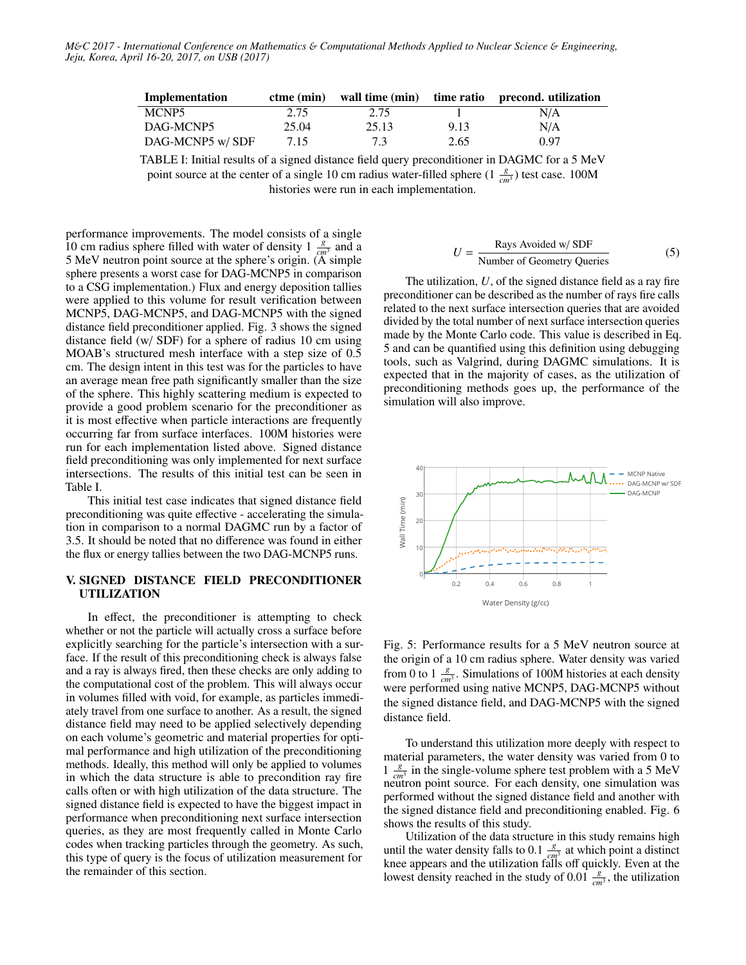| Implementation   |       |       |      | ctme (min) wall time (min) time ratio precond. utilization |
|------------------|-------|-------|------|------------------------------------------------------------|
| MCNP5            | 2.75  | 2.75  |      | N/A                                                        |
| DAG-MCNP5        | 25.04 | 25.13 | 9.13 | N/A                                                        |
| DAG-MCNP5 w/ SDF | 7.15  | 7.3   | 2.65 | 0.97                                                       |

TABLE I: Initial results of a signed distance field query preconditioner in DAGMC for a 5 MeV point source at the center of a single 10 cm radius water-filled sphere  $(1 \frac{g}{cm^3})$  test case. 100M histories were run in each implementation.

performance improvements. The model consists of a single 10 cm radius sphere filled with water of density 1  $\frac{g}{cm^3}$  and a 5 MeV neutron point source at the sphere's origin. (A simple sphere presents a worst case for DAG-MCNP5 in comparison to a CSG implementation.) Flux and energy deposition tallies were applied to this volume for result verification between MCNP5, DAG-MCNP5, and DAG-MCNP5 with the signed distance field preconditioner applied. Fig. 3 shows the signed distance field (w/ SDF) for a sphere of radius 10 cm using MOAB's structured mesh interface with a step size of 0.5 cm. The design intent in this test was for the particles to have an average mean free path significantly smaller than the size of the sphere. This highly scattering medium is expected to provide a good problem scenario for the preconditioner as it is most effective when particle interactions are frequently occurring far from surface interfaces. 100M histories were run for each implementation listed above. Signed distance field preconditioning was only implemented for next surface intersections. The results of this initial test can be seen in Table I.

This initial test case indicates that signed distance field preconditioning was quite effective - accelerating the simulation in comparison to a normal DAGMC run by a factor of 3.5. It should be noted that no difference was found in either the flux or energy tallies between the two DAG-MCNP5 runs.

### V. SIGNED DISTANCE FIELD PRECONDITIONER UTILIZATION

In effect, the preconditioner is attempting to check whether or not the particle will actually cross a surface before explicitly searching for the particle's intersection with a surface. If the result of this preconditioning check is always false and a ray is always fired, then these checks are only adding to the computational cost of the problem. This will always occur in volumes filled with void, for example, as particles immediately travel from one surface to another. As a result, the signed distance field may need to be applied selectively depending on each volume's geometric and material properties for optimal performance and high utilization of the preconditioning methods. Ideally, this method will only be applied to volumes in which the data structure is able to precondition ray fire calls often or with high utilization of the data structure. The signed distance field is expected to have the biggest impact in performance when preconditioning next surface intersection queries, as they are most frequently called in Monte Carlo codes when tracking particles through the geometry. As such, this type of query is the focus of utilization measurement for the remainder of this section.

$$
U = \frac{\text{Rays Avoided w/ SDF}}{\text{Number of Geometry Queries}}\tag{5}
$$

The utilization, *U*, of the signed distance field as a ray fire preconditioner can be described as the number of rays fire calls related to the next surface intersection queries that are avoided divided by the total number of next surface intersection queries made by the Monte Carlo code. This value is described in Eq. 5 and can be quantified using this definition using debugging tools, such as Valgrind, during DAGMC simulations. It is expected that in the majority of cases, as the utilization of preconditioning methods goes up, the performance of the simulation will also improve.



Fig. 5: Performance results for a 5 MeV neutron source at the origin of a 10 cm radius sphere. Water density was varied from 0 to 1  $\frac{g}{cm^3}$ . Simulations of 100M histories at each density were performed using native MCNP5, DAG-MCNP5 without the signed distance field, and DAG-MCNP5 with the signed distance field.

To understand this utilization more deeply with respect to material parameters, the water density was varied from 0 to  $1 \frac{g}{g}$  $\frac{g}{cm^3}$  in the single-volume sphere test problem with a 5 MeV neutron point source. For each density, one simulation was performed without the signed distance field and another with the signed distance field and preconditioning enabled. Fig. 6 shows the results of this study.

Utilization of the data structure in this study remains high until the water density falls to  $0.1 \frac{g}{\epsilon m^3}$  at which point a distinct knee appears and the utilization falls off quickly. Even at the lowest density reached in the study of 0.01  $\frac{g}{cm^3}$ , the utilization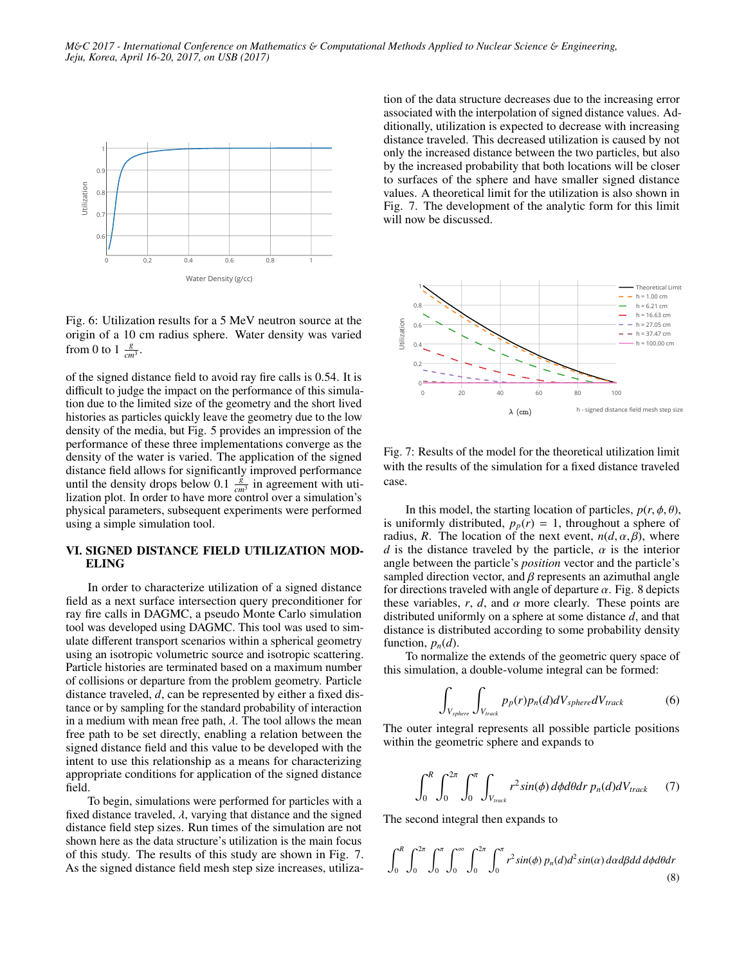

Fig. 6: Utilization results for a 5 MeV neutron source at the origin of a 10 cm radius sphere. Water density was varied from 0 to 1  $\frac{g}{cm^3}$ .

of the signed distance field to avoid ray fire calls is 0.54. It is difficult to judge the impact on the performance of this simulation due to the limited size of the geometry and the short lived histories as particles quickly leave the geometry due to the low density of the media, but Fig. 5 provides an impression of the performance of these three implementations converge as the density of the water is varied. The application of the signed distance field allows for significantly improved performance until the density drops below 0.1  $\frac{g}{cm^3}$  in agreement with utilization plot. In order to have more control over a simulation's physical parameters, subsequent experiments were performed using a simple simulation tool.

# VI. SIGNED DISTANCE FIELD UTILIZATION MOD-ELING

In order to characterize utilization of a signed distance field as a next surface intersection query preconditioner for ray fire calls in DAGMC, a pseudo Monte Carlo simulation tool was developed using DAGMC. This tool was used to simulate different transport scenarios within a spherical geometry using an isotropic volumetric source and isotropic scattering. Particle histories are terminated based on a maximum number of collisions or departure from the problem geometry. Particle distance traveled, *d*, can be represented by either a fixed distance or by sampling for the standard probability of interaction in a medium with mean free path,  $\lambda$ . The tool allows the mean free path to be set directly, enabling a relation between the signed distance field and this value to be developed with the intent to use this relationship as a means for characterizing appropriate conditions for application of the signed distance field.

To begin, simulations were performed for particles with a fixed distance traveled,  $\lambda$ , varying that distance and the signed distance field step sizes. Run times of the simulation are not shown here as the data structure's utilization is the main focus of this study. The results of this study are shown in Fig. 7. As the signed distance field mesh step size increases, utilization of the data structure decreases due to the increasing error associated with the interpolation of signed distance values. Additionally, utilization is expected to decrease with increasing distance traveled. This decreased utilization is caused by not only the increased distance between the two particles, but also by the increased probability that both locations will be closer to surfaces of the sphere and have smaller signed distance values. A theoretical limit for the utilization is also shown in Fig. 7. The development of the analytic form for this limit will now be discussed.



Fig. 7: Results of the model for the theoretical utilization limit with the results of the simulation for a fixed distance traveled case.

In this model, the starting location of particles,  $p(r, \phi, \theta)$ , is uniformly distributed,  $p_p(r) = 1$ , throughout a sphere of radius, *R*. The location of the next event,  $n(d, \alpha, \beta)$ , where *d* is the distance traveled by the particle,  $\alpha$  is the interior angle between the particle's *position* vector and the particle's sampled direction vector, and  $\beta$  represents an azimuthal angle for directions traveled with angle of departure  $\alpha$ . Fig. 8 depicts these variables,  $r$ ,  $d$ , and  $\alpha$  more clearly. These points are distributed uniformly on a sphere at some distance *d*, and that distance is distributed according to some probability density function,  $p_n(d)$ .

To normalize the extends of the geometric query space of this simulation, a double-volume integral can be formed:

$$
\int_{V_{sphere}} \int_{V_{track}} p_p(r) p_n(d) dV_{sphere} dV_{track}
$$
 (6)

The outer integral represents all possible particle positions within the geometric sphere and expands to

$$
\int_0^R \int_0^{2\pi} \int_0^{\pi} \int_{V_{track}} r^2 \sin(\phi) \, d\phi \, d\theta \, dr \, p_n(d) \, dV_{track} \tag{7}
$$

The second integral then expands to

$$
\int_0^R \int_0^{2\pi} \int_0^{\pi} \int_0^{\infty} \int_0^{\infty} \int_0^{2\pi} \int_0^{\pi} r^2 \sin(\phi) p_n(d) d^2 \sin(\alpha) d\alpha d\beta d\alpha d\phi d\theta dr
$$
\n(8)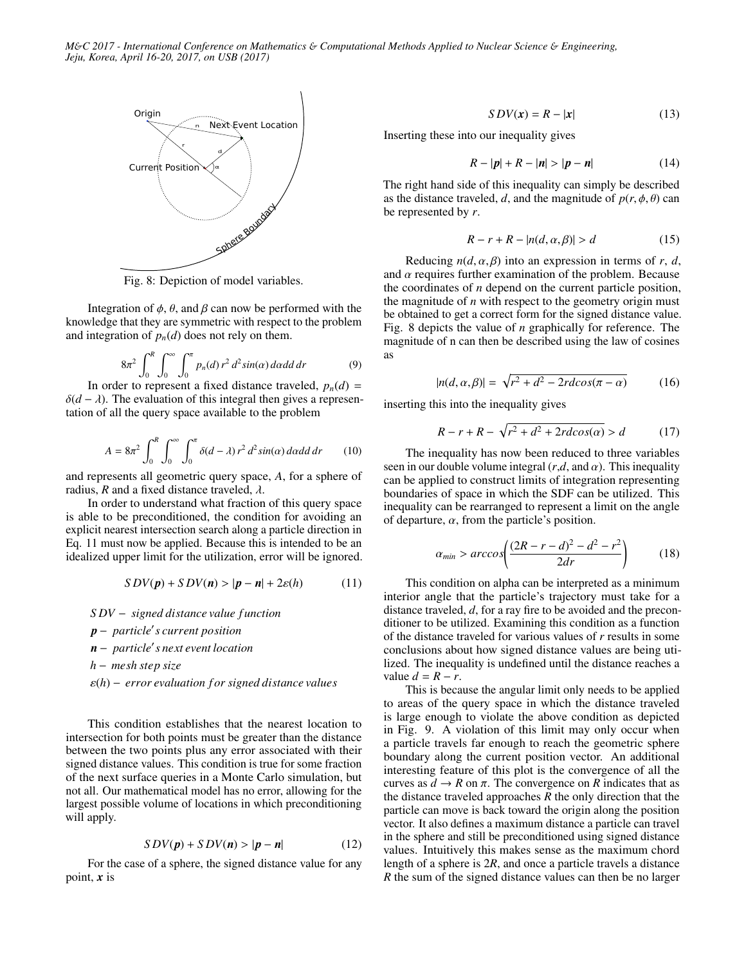

Fig. 8: Depiction of model variables.

Integration of  $\phi$ ,  $\theta$ , and  $\beta$  can now be performed with the knowledge that they are symmetric with respect to the problem and integration of  $p_n(d)$  does not rely on them.

$$
8\pi^2 \int_0^R \int_0^\infty \int_0^\pi p_n(d) \, r^2 \, d^2 \sin(\alpha) \, d\alpha \, d\alpha \, dr \tag{9}
$$

In order to represent a fixed distance traveled,  $p_n(d)$  =  $\delta(d - \lambda)$ . The evaluation of this integral then gives a representation of all the query space available to the problem

$$
A = 8\pi^2 \int_0^R \int_0^\infty \int_0^\pi \delta(d-\lambda) r^2 d^2 \sin(\alpha) d\alpha d\alpha dr \qquad (10)
$$

and represents all geometric query space, *A*, for a sphere of radius,  $R$  and a fixed distance traveled,  $\lambda$ .

In order to understand what fraction of this query space is able to be preconditioned, the condition for avoiding an explicit nearest intersection search along a particle direction in Eq. 11 must now be applied. Because this is intended to be an idealized upper limit for the utilization, error will be ignored.

$$
SDV(p) + SDV(n) > |p - n| + 2\varepsilon(h)
$$
 (11)

*S DV* − *signed distance value f unction*

*p* − *particle*<sup>0</sup> *s current position*

*n* − particle's next event location

*h* − *mesh step size*

ε(*h*) <sup>−</sup> *error evaluation f or signed distance values*

This condition establishes that the nearest location to intersection for both points must be greater than the distance between the two points plus any error associated with their signed distance values. This condition is true for some fraction of the next surface queries in a Monte Carlo simulation, but not all. Our mathematical model has no error, allowing for the largest possible volume of locations in which preconditioning will apply.

$$
SDV(p) + SDV(n) > |p - n| \tag{12}
$$

For the case of a sphere, the signed distance value for any point, *x* is

$$
SDV(x) = R - |x| \tag{13}
$$

Inserting these into our inequality gives

$$
R - |p| + R - |n| > |p - n|
$$
 (14)

The right hand side of this inequality can simply be described as the distance traveled, *d*, and the magnitude of  $p(r, \phi, \theta)$  can be represented by *r*.

$$
R - r + R - |n(d, \alpha, \beta)| > d \tag{15}
$$

Reducing  $n(d, \alpha, \beta)$  into an expression in terms of *r*, *d*, and  $\alpha$  requires further examination of the problem. Because the coordinates of *n* depend on the current particle position, the magnitude of *n* with respect to the geometry origin must be obtained to get a correct form for the signed distance value. Fig. 8 depicts the value of *n* graphically for reference. The magnitude of n can then be described using the law of cosines as

$$
|n(d, \alpha, \beta)| = \sqrt{r^2 + d^2 - 2rdcos(\pi - \alpha)}\tag{16}
$$

inserting this into the inequality gives

$$
R - r + R - \sqrt{r^2 + d^2 + 2r d \cos(\alpha)} > d \tag{17}
$$

The inequality has now been reduced to three variables seen in our double volume integral  $(r,d, \text{ and } \alpha)$ . This inequality can be applied to construct limits of integration representing boundaries of space in which the SDF can be utilized. This inequality can be rearranged to represent a limit on the angle of departure,  $\alpha$ , from the particle's position.

$$
\alpha_{min} > \arccos\left(\frac{(2R - r - d)^2 - d^2 - r^2}{2dr}\right) \tag{18}
$$

This condition on alpha can be interpreted as a minimum interior angle that the particle's trajectory must take for a distance traveled, *d*, for a ray fire to be avoided and the preconditioner to be utilized. Examining this condition as a function of the distance traveled for various values of *r* results in some conclusions about how signed distance values are being utilized. The inequality is undefined until the distance reaches a value  $d = R - r$ .

This is because the angular limit only needs to be applied to areas of the query space in which the distance traveled is large enough to violate the above condition as depicted in Fig. 9. A violation of this limit may only occur when a particle travels far enough to reach the geometric sphere boundary along the current position vector. An additional interesting feature of this plot is the convergence of all the curves as  $d \to R$  on  $\pi$ . The convergence on R indicates that as the distance traveled approaches *R* the only direction that the particle can move is back toward the origin along the position vector. It also defines a maximum distance a particle can travel in the sphere and still be preconditioned using signed distance values. Intuitively this makes sense as the maximum chord length of a sphere is 2*R*, and once a particle travels a distance *R* the sum of the signed distance values can then be no larger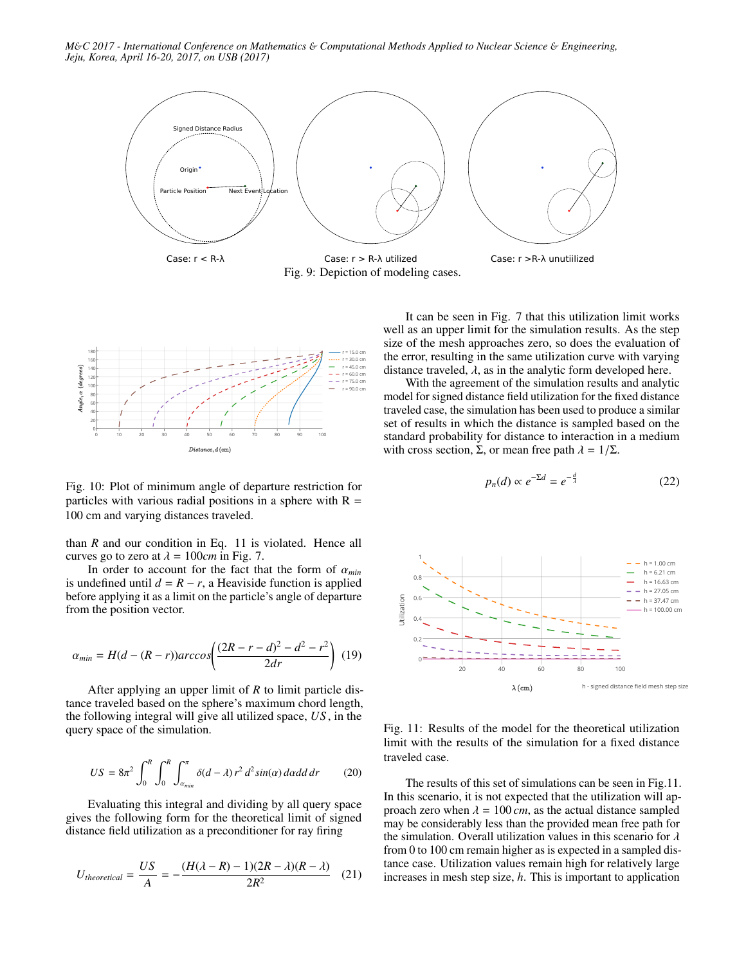*M*&*C 2017 - International Conference on Mathematics* & *Computational Methods Applied to Nuclear Science* & *Engineering, Jeju, Korea, April 16-20, 2017, on USB (2017)*



Fig. 9: Depiction of modeling cases.



Fig. 10: Plot of minimum angle of departure restriction for particles with various radial positions in a sphere with  $R =$ 100 cm and varying distances traveled.

than *R* and our condition in Eq. 11 is violated. Hence all curves go to zero at  $\lambda = 100$ *cm* in Fig. 7.

In order to account for the fact that the form of <sup>α</sup>*min* is undefined until  $d = R − r$ , a Heaviside function is applied before applying it as a limit on the particle's angle of departure from the position vector.

$$
\alpha_{min} = H(d - (R - r)) \arccos\left(\frac{(2R - r - d)^2 - d^2 - r^2}{2dr}\right)
$$
 (19)

After applying an upper limit of *R* to limit particle distance traveled based on the sphere's maximum chord length, the following integral will give all utilized space, *US* , in the query space of the simulation.

$$
US = 8\pi^2 \int_0^R \int_0^R \int_{\alpha_{min}}^{\pi} \delta(d-\lambda) r^2 d^2 \sin(\alpha) d\alpha d\alpha dr \qquad (20)
$$

Evaluating this integral and dividing by all query space gives the following form for the theoretical limit of signed distance field utilization as a preconditioner for ray firing

$$
U_{theoretical} = \frac{US}{A} = -\frac{(H(\lambda - R) - 1)(2R - \lambda)(R - \lambda)}{2R^2}
$$
 (21)

It can be seen in Fig. 7 that this utilization limit works well as an upper limit for the simulation results. As the step size of the mesh approaches zero, so does the evaluation of the error, resulting in the same utilization curve with varying distance traveled,  $\lambda$ , as in the analytic form developed here.

With the agreement of the simulation results and analytic model for signed distance field utilization for the fixed distance traveled case, the simulation has been used to produce a similar set of results in which the distance is sampled based on the standard probability for distance to interaction in a medium with cross section, Σ, or mean free path  $\lambda = 1/\Sigma$ .

$$
p_n(d) \propto e^{-\Sigma d} = e^{-\frac{d}{\lambda}} \tag{22}
$$



Fig. 11: Results of the model for the theoretical utilization limit with the results of the simulation for a fixed distance traveled case.

The results of this set of simulations can be seen in Fig.11. In this scenario, it is not expected that the utilization will approach zero when  $\lambda = 100 \, \text{cm}$ , as the actual distance sampled may be considerably less than the provided mean free path for the simulation. Overall utilization values in this scenario for  $\lambda$ from 0 to 100 cm remain higher as is expected in a sampled distance case. Utilization values remain high for relatively large increases in mesh step size, *h*. This is important to application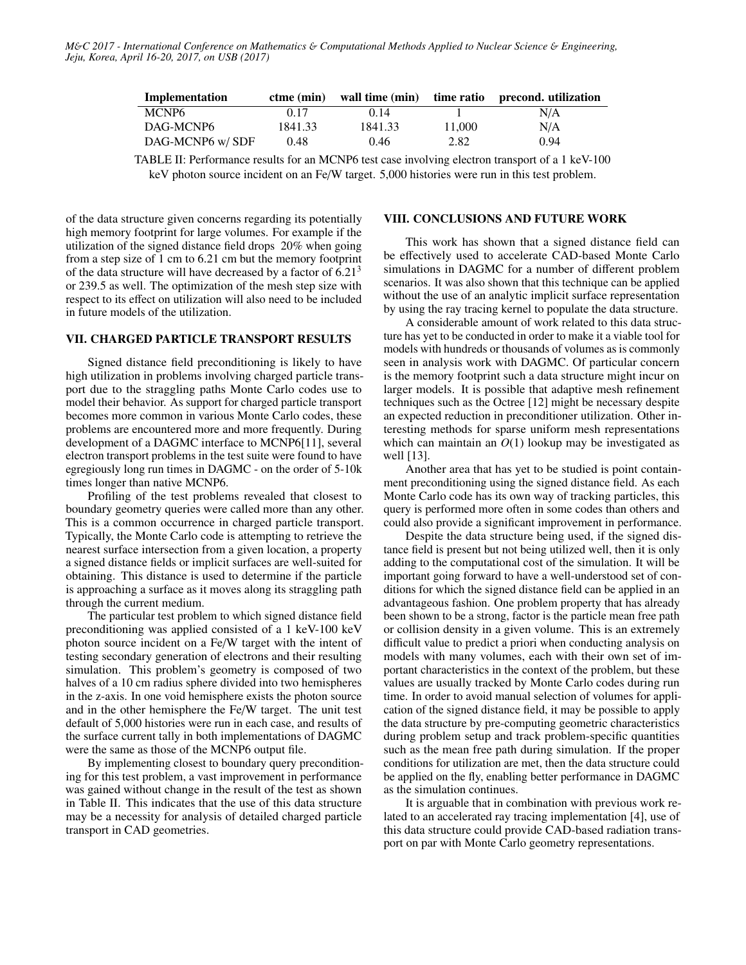| Implementation    | $ctme$ (min) | wall time (min) |        | time ratio precond. utilization |
|-------------------|--------------|-----------------|--------|---------------------------------|
| MCNP <sub>6</sub> | 0.17         | 0.14            |        | N/A                             |
| DAG-MCNP6         | 1841.33      | 1841.33         | 11.000 | N/A                             |
| DAG-MCNP6 w/SDF   | 0.48         | 0.46            | 2.82   | 0.94                            |

TABLE II: Performance results for an MCNP6 test case involving electron transport of a 1 keV-100 keV photon source incident on an Fe/W target. 5,000 histories were run in this test problem.

of the data structure given concerns regarding its potentially high memory footprint for large volumes. For example if the utilization of the signed distance field drops 20% when going from a step size of 1 cm to 6.21 cm but the memory footprint of the data structure will have decreased by a factor of  $6.21<sup>3</sup>$ or <sup>239</sup>.<sup>5</sup> as well. The optimization of the mesh step size with respect to its effect on utilization will also need to be included in future models of the utilization.

## VII. CHARGED PARTICLE TRANSPORT RESULTS

Signed distance field preconditioning is likely to have high utilization in problems involving charged particle transport due to the straggling paths Monte Carlo codes use to model their behavior. As support for charged particle transport becomes more common in various Monte Carlo codes, these problems are encountered more and more frequently. During development of a DAGMC interface to MCNP6[11], several electron transport problems in the test suite were found to have egregiously long run times in DAGMC - on the order of 5-10k times longer than native MCNP6.

Profiling of the test problems revealed that closest to boundary geometry queries were called more than any other. This is a common occurrence in charged particle transport. Typically, the Monte Carlo code is attempting to retrieve the nearest surface intersection from a given location, a property a signed distance fields or implicit surfaces are well-suited for obtaining. This distance is used to determine if the particle is approaching a surface as it moves along its straggling path through the current medium.

The particular test problem to which signed distance field preconditioning was applied consisted of a 1 keV-100 keV photon source incident on a Fe/W target with the intent of testing secondary generation of electrons and their resulting simulation. This problem's geometry is composed of two halves of a 10 cm radius sphere divided into two hemispheres in the z-axis. In one void hemisphere exists the photon source and in the other hemisphere the Fe/W target. The unit test default of 5,000 histories were run in each case, and results of the surface current tally in both implementations of DAGMC were the same as those of the MCNP6 output file.

By implementing closest to boundary query preconditioning for this test problem, a vast improvement in performance was gained without change in the result of the test as shown in Table II. This indicates that the use of this data structure may be a necessity for analysis of detailed charged particle transport in CAD geometries.

## VIII. CONCLUSIONS AND FUTURE WORK

This work has shown that a signed distance field can be effectively used to accelerate CAD-based Monte Carlo simulations in DAGMC for a number of different problem scenarios. It was also shown that this technique can be applied without the use of an analytic implicit surface representation by using the ray tracing kernel to populate the data structure.

A considerable amount of work related to this data structure has yet to be conducted in order to make it a viable tool for models with hundreds or thousands of volumes as is commonly seen in analysis work with DAGMC. Of particular concern is the memory footprint such a data structure might incur on larger models. It is possible that adaptive mesh refinement techniques such as the Octree [12] might be necessary despite an expected reduction in preconditioner utilization. Other interesting methods for sparse uniform mesh representations which can maintain an *O*(1) lookup may be investigated as well [13].

Another area that has yet to be studied is point containment preconditioning using the signed distance field. As each Monte Carlo code has its own way of tracking particles, this query is performed more often in some codes than others and could also provide a significant improvement in performance.

Despite the data structure being used, if the signed distance field is present but not being utilized well, then it is only adding to the computational cost of the simulation. It will be important going forward to have a well-understood set of conditions for which the signed distance field can be applied in an advantageous fashion. One problem property that has already been shown to be a strong, factor is the particle mean free path or collision density in a given volume. This is an extremely difficult value to predict a priori when conducting analysis on models with many volumes, each with their own set of important characteristics in the context of the problem, but these values are usually tracked by Monte Carlo codes during run time. In order to avoid manual selection of volumes for application of the signed distance field, it may be possible to apply the data structure by pre-computing geometric characteristics during problem setup and track problem-specific quantities such as the mean free path during simulation. If the proper conditions for utilization are met, then the data structure could be applied on the fly, enabling better performance in DAGMC as the simulation continues.

It is arguable that in combination with previous work related to an accelerated ray tracing implementation [4], use of this data structure could provide CAD-based radiation transport on par with Monte Carlo geometry representations.